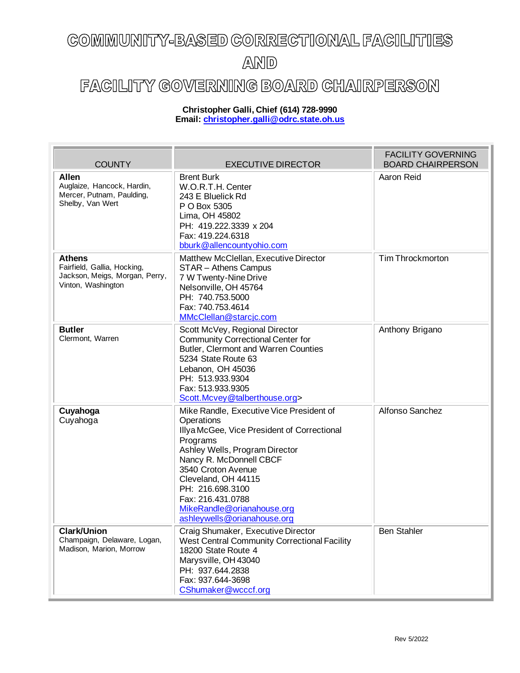## COMMUNITY-BASED CORRECTIONAL FACILITIES AND

## FACILITY GOVERNING BOARD CHAIRPERSON

## **Christopher Galli, Chief (614) 728-9990 Email: [christopher.galli@odrc.state.oh.us](mailto:christopher.galli@odrc.state.oh.us)**

| <b>COUNTY</b>                                                                                        | <b>EXECUTIVE DIRECTOR</b>                                                                                                                                                                                                                                                                                                         | <b>FACILITY GOVERNING</b><br><b>BOARD CHAIRPERSON</b> |
|------------------------------------------------------------------------------------------------------|-----------------------------------------------------------------------------------------------------------------------------------------------------------------------------------------------------------------------------------------------------------------------------------------------------------------------------------|-------------------------------------------------------|
| <b>Allen</b><br>Auglaize, Hancock, Hardin,<br>Mercer, Putnam, Paulding,<br>Shelby, Van Wert          | <b>Brent Burk</b><br>W.O.R.T.H. Center<br>243 E Bluelick Rd<br>P O Box 5305<br>Lima, OH 45802<br>PH: 419.222.3339 x 204<br>Fax: 419.224.6318<br>bburk@allencountyohio.com                                                                                                                                                         | Aaron Reid                                            |
| <b>Athens</b><br>Fairfield, Gallia, Hocking,<br>Jackson, Meigs, Morgan, Perry,<br>Vinton, Washington | Matthew McClellan, Executive Director<br>STAR - Athens Campus<br>7 W Twenty-Nine Drive<br>Nelsonville, OH 45764<br>PH: 740.753.5000<br>Fax: 740.753.4614<br>MMcClellan@starcjc.com                                                                                                                                                | <b>Tim Throckmorton</b>                               |
| <b>Butler</b><br>Clermont, Warren                                                                    | Scott McVey, Regional Director<br><b>Community Correctional Center for</b><br>Butler, Clermont and Warren Counties<br>5234 State Route 63<br>Lebanon, OH 45036<br>PH: 513.933.9304<br>Fax: 513.933.9305<br>Scott.Mcvey@talberthouse.org>                                                                                          | Anthony Brigano                                       |
| Cuyahoga<br>Cuyahoga                                                                                 | Mike Randle, Executive Vice President of<br>Operations<br>Illya McGee, Vice President of Correctional<br>Programs<br>Ashley Wells, Program Director<br>Nancy R. McDonnell CBCF<br>3540 Croton Avenue<br>Cleveland, OH 44115<br>PH: 216.698.3100<br>Fax: 216.431.0788<br>MikeRandle@orianahouse.org<br>ashleywells@orianahouse.org | Alfonso Sanchez                                       |
| <b>Clark/Union</b><br>Champaign, Delaware, Logan,<br>Madison, Marion, Morrow                         | Craig Shumaker, Executive Director<br>West Central Community Correctional Facility<br>18200 State Route 4<br>Marysville, OH 43040<br>PH: 937.644.2838<br>Fax: 937.644-3698<br>CShumaker@wcccf.org                                                                                                                                 | <b>Ben Stahler</b>                                    |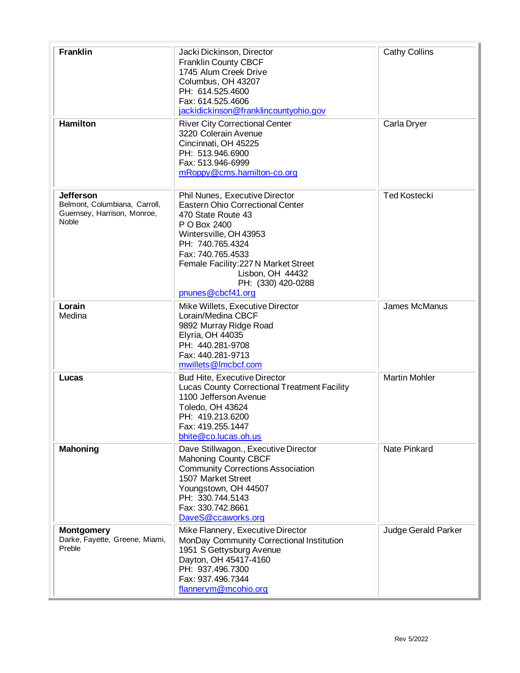| <b>Franklin</b>                                                                                  | Jacki Dickinson, Director<br>Franklin County CBCF<br>1745 Alum Creek Drive<br>Columbus, OH 43207<br>PH: 614.525.4600<br>Fax: 614.525.4606<br>jackidickinson@franklincountyohio.gov                                                                                                        | <b>Cathy Collins</b> |
|--------------------------------------------------------------------------------------------------|-------------------------------------------------------------------------------------------------------------------------------------------------------------------------------------------------------------------------------------------------------------------------------------------|----------------------|
| <b>Hamilton</b>                                                                                  | <b>River City Correctional Center</b><br>3220 Colerain Avenue<br>Cincinnati, OH 45225<br>PH: 513.946.6900<br>Fax: 513.946-6999<br>mRoppy@cms.hamilton-co.org                                                                                                                              | Carla Dryer          |
| <b>Jefferson</b><br>Belmont, Columbiana, Carroll,<br>Guernsey, Harrison, Monroe,<br><b>Noble</b> | Phil Nunes, Executive Director<br><b>Eastern Ohio Correctional Center</b><br>470 State Route 43<br>P O Box 2400<br>Wintersville, OH 43953<br>PH: 740.765.4324<br>Fax: 740.765.4533<br>Female Facility: 227 N Market Street<br>Lisbon, OH 44432<br>PH: (330) 420-0288<br>pnunes@cbcf41.org | <b>Ted Kostecki</b>  |
| Lorain<br>Medina                                                                                 | Mike Willets, Executive Director<br>Lorain/Medina CBCF<br>9892 Murray Ridge Road<br>Elyria, OH 44035<br>PH: 440.281-9708<br>Fax: 440.281-9713<br>mwillets@lmcbcf.com                                                                                                                      | James McManus        |
| Lucas                                                                                            | <b>Bud Hite, Executive Director</b><br>Lucas County Correctional Treatment Facility<br>1100 Jefferson Avenue<br>Toledo, OH 43624<br>PH: 419.213.6200<br>Fax: 419.255.1447<br>bhite@co.lucas.oh.us                                                                                         | <b>Martin Mohler</b> |
| <b>Mahoning</b>                                                                                  | Dave Stillwagon., Executive Director<br><b>Mahoning County CBCF</b><br><b>Community Corrections Association</b><br>1507 Market Street<br>Youngstown, OH 44507<br>PH: 330.744.5143<br>Fax: 330.742.8661<br>DaveS@ccaworks.org                                                              | <b>Nate Pinkard</b>  |
| <b>Montgomery</b><br>Darke, Fayette, Greene, Miami,<br>Preble                                    | Mike Flannery, Executive Director<br>MonDay Community Correctional Institution<br>1951 S Gettysburg Avenue<br>Dayton, OH 45417-4160<br>PH: 937.496.7300<br>Fax: 937.496.7344<br>flannerym@mcohio.org                                                                                      | Judge Gerald Parker  |